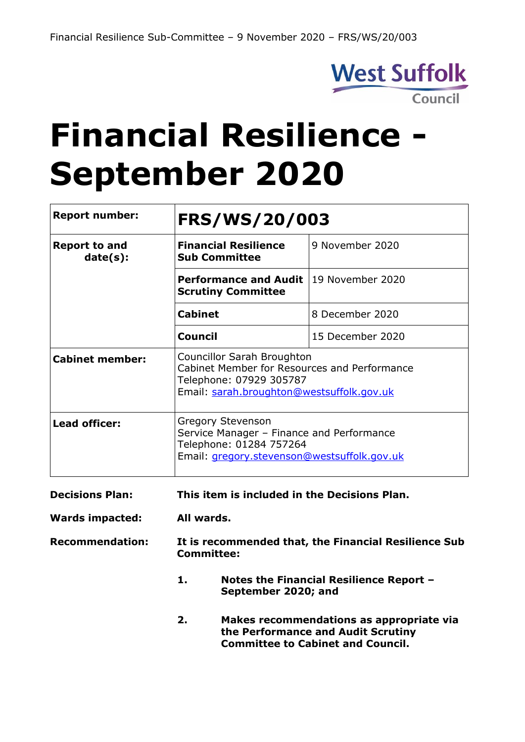

# **Financial Resilience - September 2020**

| <b>Report number:</b>            | <b>FRS/WS/20/003</b>                                                                                                                               |                                          |  |  |  |
|----------------------------------|----------------------------------------------------------------------------------------------------------------------------------------------------|------------------------------------------|--|--|--|
| <b>Report to and</b><br>date(s): | <b>Financial Resilience</b><br><b>Sub Committee</b>                                                                                                | 9 November 2020                          |  |  |  |
|                                  | <b>Performance and Audit</b><br><b>Scrutiny Committee</b>                                                                                          | 19 November 2020                         |  |  |  |
|                                  | <b>Cabinet</b>                                                                                                                                     | 8 December 2020                          |  |  |  |
|                                  | <b>Council</b>                                                                                                                                     | 15 December 2020                         |  |  |  |
| <b>Cabinet member:</b>           | Councillor Sarah Broughton<br>Cabinet Member for Resources and Performance<br>Telephone: 07929 305787<br>Email: sarah.broughton@westsuffolk.gov.uk |                                          |  |  |  |
| <b>Lead officer:</b>             | <b>Gregory Stevenson</b><br>Service Manager - Finance and Performance<br>Telephone: 01284 757264<br>Email: gregory.stevenson@westsuffolk.gov.uk    |                                          |  |  |  |
| <b>Decisions Plan:</b>           | This item is included in the Decisions Plan.                                                                                                       |                                          |  |  |  |
| <b>Wards impacted:</b>           | All wards.                                                                                                                                         |                                          |  |  |  |
| <b>Recommendation:</b>           | It is recommended that, the Financial Resilience Sub<br><b>Committee:</b>                                                                          |                                          |  |  |  |
|                                  | 1.<br>September 2020; and                                                                                                                          | Notes the Financial Resilience Report -  |  |  |  |
|                                  | 2.                                                                                                                                                 | Makes recommendations as appropriate via |  |  |  |

**the Performance and Audit Scrutiny Committee to Cabinet and Council.**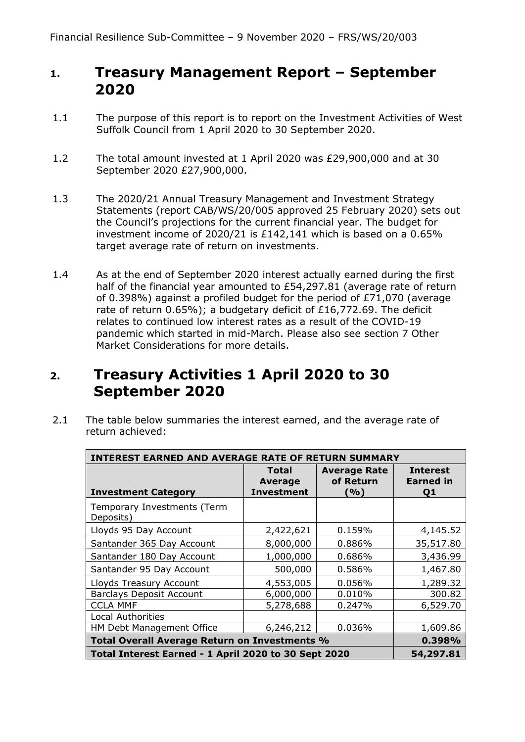## **1. Treasury Management Report – September 2020**

- 1.1 The purpose of this report is to report on the Investment Activities of West Suffolk Council from 1 April 2020 to 30 September 2020.
- 1.2 The total amount invested at 1 April 2020 was £29,900,000 and at 30 September 2020 £27,900,000.
- 1.3 The 2020/21 Annual Treasury Management and Investment Strategy Statements (report CAB/WS/20/005 approved 25 February 2020) sets out the Council's projections for the current financial year. The budget for investment income of 2020/21 is £142,141 which is based on a 0.65% target average rate of return on investments.
- 1.4 As at the end of September 2020 interest actually earned during the first half of the financial year amounted to £54,297.81 (average rate of return of 0.398%) against a profiled budget for the period of £71,070 (average rate of return 0.65%); a budgetary deficit of £16,772.69. The deficit relates to continued low interest rates as a result of the COVID-19 pandemic which started in mid-March. Please also see section 7 Other Market Considerations for more details.

## **2. Treasury Activities 1 April 2020 to 30 September 2020**

2.1 The table below summaries the interest earned, and the average rate of return achieved:

| <b>INTEREST EARNED AND AVERAGE RATE OF RETURN SUMMARY</b> |                                                     |                                         |                                           |  |  |  |
|-----------------------------------------------------------|-----------------------------------------------------|-----------------------------------------|-------------------------------------------|--|--|--|
| <b>Investment Category</b>                                | <b>Total</b><br><b>Average</b><br><b>Investment</b> | <b>Average Rate</b><br>of Return<br>(%) | <b>Interest</b><br><b>Earned in</b><br>Q1 |  |  |  |
| Temporary Investments (Term<br>Deposits)                  |                                                     |                                         |                                           |  |  |  |
| Lloyds 95 Day Account                                     | 2,422,621                                           | 0.159%                                  | 4,145.52                                  |  |  |  |
| Santander 365 Day Account                                 | 8,000,000                                           | 0.886%                                  | 35,517.80                                 |  |  |  |
| Santander 180 Day Account                                 | 1,000,000                                           | 0.686%                                  | 3,436.99                                  |  |  |  |
| Santander 95 Day Account                                  | 500,000                                             | 0.586%                                  | 1,467.80                                  |  |  |  |
| Lloyds Treasury Account                                   | 4,553,005                                           | 0.056%                                  | 1,289.32                                  |  |  |  |
| <b>Barclays Deposit Account</b>                           | 6,000,000                                           | 0.010%                                  | 300.82                                    |  |  |  |
| <b>CCLA MMF</b>                                           | 5,278,688                                           | 0.247%                                  | 6,529.70                                  |  |  |  |
| <b>Local Authorities</b>                                  |                                                     |                                         |                                           |  |  |  |
| HM Debt Management Office                                 | 6,246,212                                           | 0.036%                                  | 1,609.86                                  |  |  |  |
| Total Overall Average Return on Investments %             | 0.398%                                              |                                         |                                           |  |  |  |
| Total Interest Earned - 1 April 2020 to 30 Sept 2020      | 54,297.81                                           |                                         |                                           |  |  |  |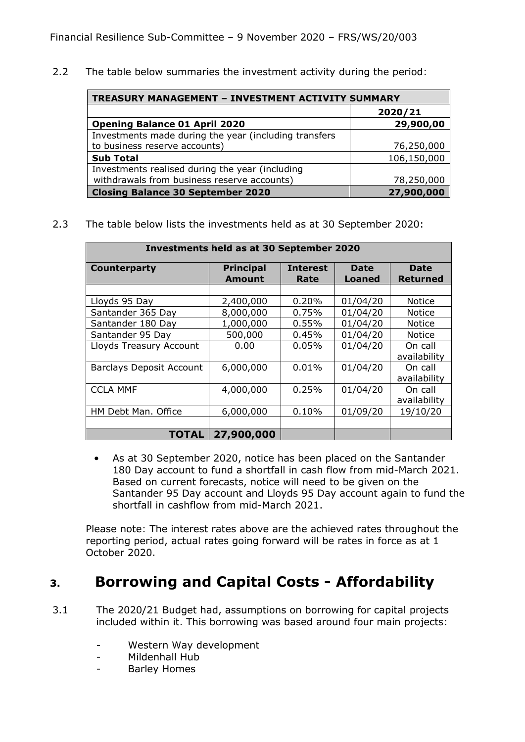2.2 The table below summaries the investment activity during the period:

| <b>TREASURY MANAGEMENT - INVESTMENT ACTIVITY SUMMARY</b> |             |  |  |  |  |
|----------------------------------------------------------|-------------|--|--|--|--|
|                                                          | 2020/21     |  |  |  |  |
| <b>Opening Balance 01 April 2020</b>                     | 29,900,00   |  |  |  |  |
| Investments made during the year (including transfers    |             |  |  |  |  |
| to business reserve accounts)                            | 76,250,000  |  |  |  |  |
| <b>Sub Total</b>                                         | 106,150,000 |  |  |  |  |
| Investments realised during the year (including          |             |  |  |  |  |
| withdrawals from business reserve accounts)              | 78,250,000  |  |  |  |  |
| <b>Closing Balance 30 September 2020</b>                 | 27,900,000  |  |  |  |  |

2.3 The table below lists the investments held as at 30 September 2020:

| <b>Investments held as at 30 September 2020</b> |                                   |                         |                       |                         |  |  |  |
|-------------------------------------------------|-----------------------------------|-------------------------|-----------------------|-------------------------|--|--|--|
| Counterparty                                    | <b>Principal</b><br><b>Amount</b> | <b>Interest</b><br>Rate | <b>Date</b><br>Loaned | Date<br>Returned        |  |  |  |
| Lloyds 95 Day                                   | 2,400,000                         | 0.20%                   | 01/04/20              | <b>Notice</b>           |  |  |  |
| Santander 365 Day                               | 8,000,000                         | 0.75%                   | 01/04/20              | <b>Notice</b>           |  |  |  |
| Santander 180 Day                               | 1,000,000                         | 0.55%                   | 01/04/20              | <b>Notice</b>           |  |  |  |
| Santander 95 Day                                | 500,000                           | 0.45%                   | 01/04/20              | <b>Notice</b>           |  |  |  |
| Lloyds Treasury Account                         | 0.00                              | $0.05\%$                | 01/04/20              | On call<br>availability |  |  |  |
| <b>Barclays Deposit Account</b>                 | 6,000,000                         | 0.01%                   | 01/04/20              | On call<br>availability |  |  |  |
| <b>CCLA MMF</b>                                 | 4,000,000                         | 0.25%                   | 01/04/20              | On call<br>availability |  |  |  |
| HM Debt Man. Office                             | 6,000,000                         | 0.10%                   | 01/09/20              | 19/10/20                |  |  |  |
| <b>TOTAL</b>                                    | 27,900,000                        |                         |                       |                         |  |  |  |

• As at 30 September 2020, notice has been placed on the Santander 180 Day account to fund a shortfall in cash flow from mid-March 2021. Based on current forecasts, notice will need to be given on the Santander 95 Day account and Lloyds 95 Day account again to fund the shortfall in cashflow from mid-March 2021.

Please note: The interest rates above are the achieved rates throughout the reporting period, actual rates going forward will be rates in force as at 1 October 2020.

# **3. Borrowing and Capital Costs - Affordability**

- 3.1 The 2020/21 Budget had, assumptions on borrowing for capital projects included within it. This borrowing was based around four main projects:
	- Western Way development
	- Mildenhall Hub
	- Barley Homes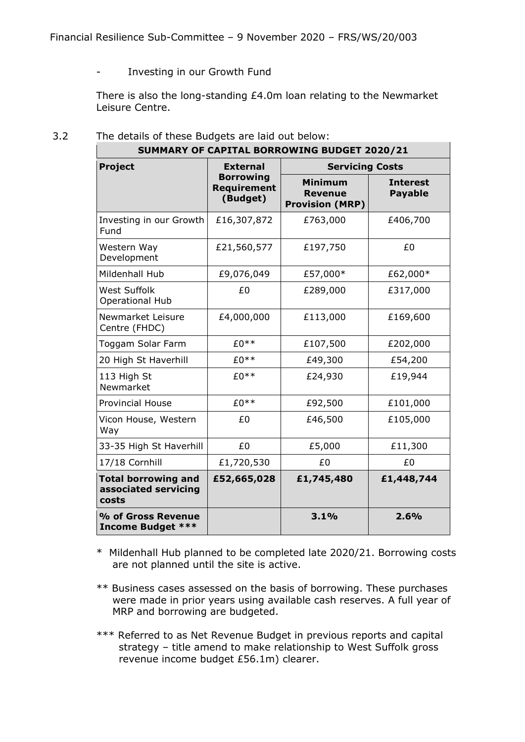#### - Investing in our Growth Fund

There is also the long-standing £4.0m loan relating to the Newmarket Leisure Centre.

| SUMMARY OF CAPITAL BORROWING BUDGET 2020/21                 |                                                    |                                                            |                                   |  |
|-------------------------------------------------------------|----------------------------------------------------|------------------------------------------------------------|-----------------------------------|--|
| <b>Project</b>                                              | <b>External</b>                                    | <b>Servicing Costs</b>                                     |                                   |  |
|                                                             | <b>Borrowing</b><br><b>Requirement</b><br>(Budget) | <b>Minimum</b><br><b>Revenue</b><br><b>Provision (MRP)</b> | <b>Interest</b><br><b>Payable</b> |  |
| Investing in our Growth<br>Fund                             | £16,307,872                                        | £763,000                                                   | £406,700                          |  |
| Western Way<br>Development                                  | £21,560,577                                        | £197,750                                                   | £0                                |  |
| Mildenhall Hub                                              | £9,076,049                                         | £57,000*                                                   | £62,000*                          |  |
| <b>West Suffolk</b><br><b>Operational Hub</b>               | £0                                                 | £289,000                                                   | £317,000                          |  |
| Newmarket Leisure<br>Centre (FHDC)                          | £4,000,000                                         | £113,000                                                   | £169,600                          |  |
| Toggam Solar Farm                                           | £0**                                               | £107,500                                                   | £202,000                          |  |
| 20 High St Haverhill                                        | $£0**$                                             | £49,300                                                    | £54,200                           |  |
| 113 High St<br>Newmarket                                    | $£0**$                                             | £24,930                                                    | £19,944                           |  |
| <b>Provincial House</b>                                     | $£0**$                                             | £92,500                                                    | £101,000                          |  |
| Vicon House, Western<br>Way                                 | £0                                                 | £46,500                                                    | £105,000                          |  |
| 33-35 High St Haverhill                                     | £0                                                 | £5,000                                                     | £11,300                           |  |
| 17/18 Cornhill                                              | £1,720,530                                         | £0                                                         | £0                                |  |
| <b>Total borrowing and</b><br>associated servicing<br>costs | £52,665,028                                        | £1,745,480                                                 | £1,448,744                        |  |
| % of Gross Revenue<br><b>Income Budget ***</b>              |                                                    | 3.1%                                                       | 2.6%                              |  |

#### 3.2 The details of these Budgets are laid out below:

\* Mildenhall Hub planned to be completed late 2020/21. Borrowing costs are not planned until the site is active.

\*\* Business cases assessed on the basis of borrowing. These purchases were made in prior years using available cash reserves. A full year of MRP and borrowing are budgeted.

\*\*\* Referred to as Net Revenue Budget in previous reports and capital strategy – title amend to make relationship to West Suffolk gross revenue income budget £56.1m) clearer.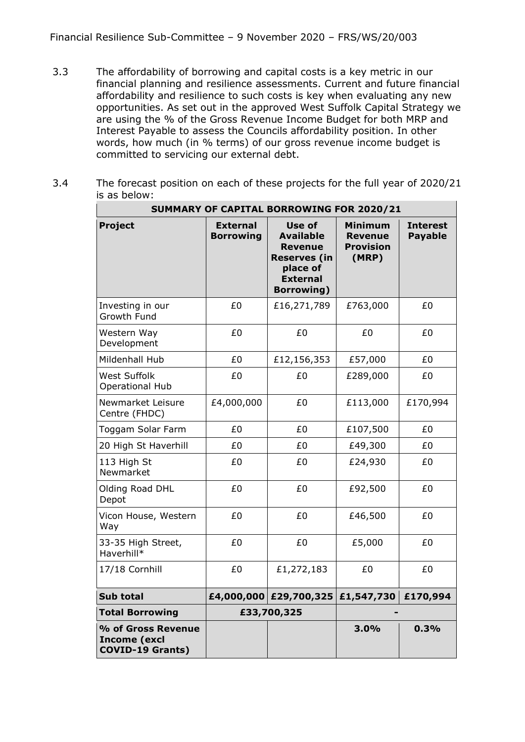- 3.3 The affordability of borrowing and capital costs is a key metric in our financial planning and resilience assessments. Current and future financial affordability and resilience to such costs is key when evaluating any new opportunities. As set out in the approved West Suffolk Capital Strategy we are using the % of the Gross Revenue Income Budget for both MRP and Interest Payable to assess the Councils affordability position. In other words, how much (in % terms) of our gross revenue income budget is committed to servicing our external debt.
- 3.4 The forecast position on each of these projects for the full year of 2020/21 is as below:

|                                                                      | SUMMARY OF CAPITAL BORROWING FOR 2020/21 |                                                                                                                         |                                                               |                                   |  |  |  |
|----------------------------------------------------------------------|------------------------------------------|-------------------------------------------------------------------------------------------------------------------------|---------------------------------------------------------------|-----------------------------------|--|--|--|
| <b>Project</b>                                                       | <b>External</b><br><b>Borrowing</b>      | <b>Use of</b><br><b>Available</b><br>Revenue<br><b>Reserves (in</b><br>place of<br><b>External</b><br><b>Borrowing)</b> | <b>Minimum</b><br><b>Revenue</b><br><b>Provision</b><br>(MRP) | <b>Interest</b><br><b>Payable</b> |  |  |  |
| Investing in our<br>Growth Fund                                      | £0                                       | £16,271,789                                                                                                             | £763,000                                                      | £0                                |  |  |  |
| Western Way<br>Development                                           | £0                                       | £0                                                                                                                      | £0                                                            | £0                                |  |  |  |
| Mildenhall Hub                                                       | £0                                       | £12,156,353                                                                                                             | £57,000                                                       | £0                                |  |  |  |
| <b>West Suffolk</b><br><b>Operational Hub</b>                        | £0                                       | £0                                                                                                                      | £289,000                                                      | £0                                |  |  |  |
| Newmarket Leisure<br>Centre (FHDC)                                   | £4,000,000                               | £0                                                                                                                      | £113,000                                                      | £170,994                          |  |  |  |
| Toggam Solar Farm                                                    | £0                                       | £0                                                                                                                      | £107,500                                                      | £0                                |  |  |  |
| 20 High St Haverhill                                                 | £0                                       | £0                                                                                                                      | £49,300                                                       | £0                                |  |  |  |
| 113 High St<br>Newmarket                                             | £0                                       | £0                                                                                                                      | £24,930                                                       | £0                                |  |  |  |
| Olding Road DHL<br>Depot                                             | £0                                       | £0                                                                                                                      | £92,500                                                       | £0                                |  |  |  |
| Vicon House, Western<br>Way                                          | £0                                       | £0                                                                                                                      | £46,500                                                       | £0                                |  |  |  |
| 33-35 High Street,<br>Haverhill*                                     | £0                                       | £0                                                                                                                      | £5,000                                                        | £0                                |  |  |  |
| 17/18 Cornhill                                                       | £0                                       | £1,272,183                                                                                                              | £0                                                            | £0                                |  |  |  |
| <b>Sub total</b>                                                     |                                          | £4,000,000 £29,700,325                                                                                                  | £1,547,730                                                    | £170,994                          |  |  |  |
| <b>Total Borrowing</b>                                               | £33,700,325                              |                                                                                                                         |                                                               |                                   |  |  |  |
| % of Gross Revenue<br><b>Income (excl</b><br><b>COVID-19 Grants)</b> |                                          |                                                                                                                         | 3.0%                                                          | 0.3%                              |  |  |  |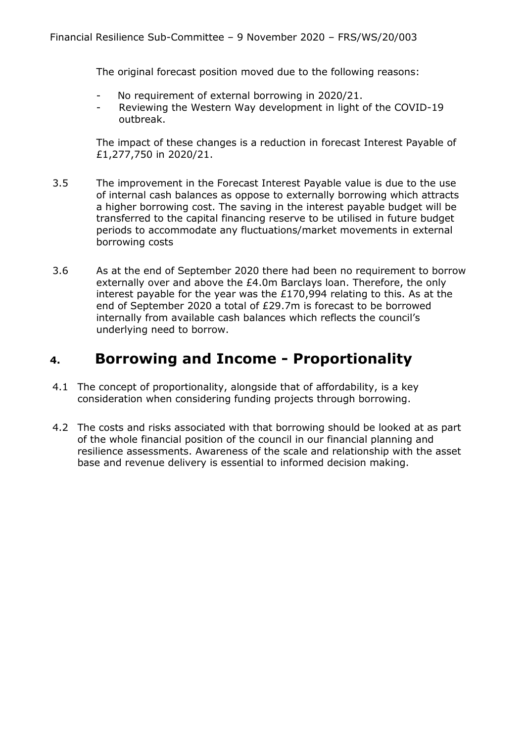The original forecast position moved due to the following reasons:

- No requirement of external borrowing in 2020/21.
- Reviewing the Western Way development in light of the COVID-19 outbreak.

The impact of these changes is a reduction in forecast Interest Payable of £1,277,750 in 2020/21.

- 3.5 The improvement in the Forecast Interest Payable value is due to the use of internal cash balances as oppose to externally borrowing which attracts a higher borrowing cost. The saving in the interest payable budget will be transferred to the capital financing reserve to be utilised in future budget periods to accommodate any fluctuations/market movements in external borrowing costs
- 3.6 As at the end of September 2020 there had been no requirement to borrow externally over and above the £4.0m Barclays loan. Therefore, the only interest payable for the year was the £170,994 relating to this. As at the end of September 2020 a total of £29.7m is forecast to be borrowed internally from available cash balances which reflects the council's underlying need to borrow.

# **4. Borrowing and Income - Proportionality**

- 4.1 The concept of proportionality, alongside that of affordability, is a key consideration when considering funding projects through borrowing.
- 4.2 The costs and risks associated with that borrowing should be looked at as part of the whole financial position of the council in our financial planning and resilience assessments. Awareness of the scale and relationship with the asset base and revenue delivery is essential to informed decision making.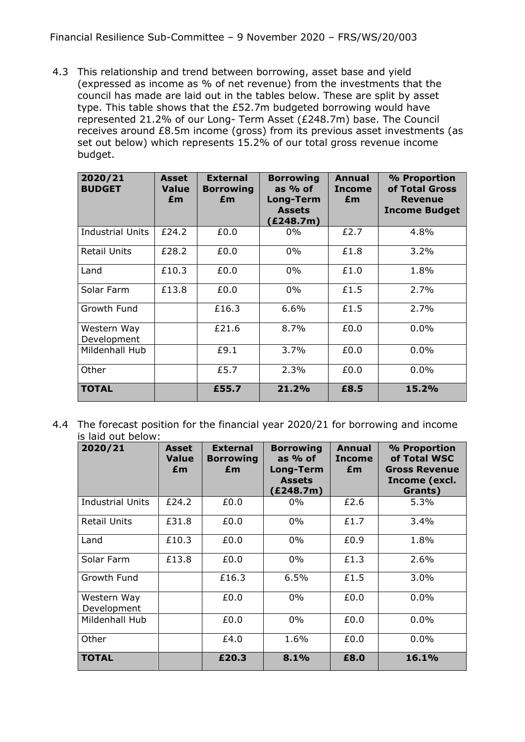4.3 This relationship and trend between borrowing, asset base and yield (expressed as income as % of net revenue) from the investments that the council has made are laid out in the tables below. These are split by asset type. This table shows that the £52.7m budgeted borrowing would have represented 21.2% of our Long- Term Asset (£248.7m) base. The Council receives around £8.5m income (gross) from its previous asset investments (as set out below) which represents 15.2% of our total gross revenue income budget.

| 2020/21<br><b>BUDGET</b>   | Asset<br><b>Value</b><br>£m | <b>External</b><br><b>Borrowing</b><br>£m | <b>Borrowing</b><br>as $%$ of<br><b>Long-Term</b><br><b>Assets</b><br>(£248.7m) | Annual<br><b>Income</b><br>£m | % Proportion<br>of Total Gross<br><b>Revenue</b><br><b>Income Budget</b> |
|----------------------------|-----------------------------|-------------------------------------------|---------------------------------------------------------------------------------|-------------------------------|--------------------------------------------------------------------------|
| <b>Industrial Units</b>    | £24.2                       | £0.0                                      | $0\%$                                                                           | £2.7                          | 4.8%                                                                     |
| <b>Retail Units</b>        | £28.2                       | £0.0                                      | $0\%$                                                                           | £1.8                          | 3.2%                                                                     |
| Land                       | £10.3                       | £0.0                                      | $0\%$                                                                           | £1.0                          | 1.8%                                                                     |
| Solar Farm                 | £13.8                       | £0.0                                      | $0\%$                                                                           | £1.5                          | 2.7%                                                                     |
| Growth Fund                |                             | £16.3                                     | $6.6\%$                                                                         | £1.5                          | 2.7%                                                                     |
| Western Way<br>Development |                             | £21.6                                     | 8.7%                                                                            | £0.0                          | 0.0%                                                                     |
| Mildenhall Hub             |                             | £9.1                                      | $3.7\%$                                                                         | £0.0                          | 0.0%                                                                     |
| Other                      |                             | £5.7                                      | 2.3%                                                                            | £0.0                          | 0.0%                                                                     |
| <b>TOTAL</b>               |                             | £55.7                                     | 21.2%                                                                           | £8.5                          | 15.2%                                                                    |

4.4 The forecast position for the financial year 2020/21 for borrowing and income is laid out below:

| 2020/21                    | <b>Asset</b><br><b>Value</b><br>£m | <b>External</b><br><b>Borrowing</b><br>£m | <b>Borrowing</b><br>as $%$ of<br>Long-Term<br><b>Assets</b><br>(£248.7m) | Annual<br><b>Income</b><br>£m | % Proportion<br>of Total WSC<br><b>Gross Revenue</b><br>Income (excl.<br>Grants) |
|----------------------------|------------------------------------|-------------------------------------------|--------------------------------------------------------------------------|-------------------------------|----------------------------------------------------------------------------------|
| <b>Industrial Units</b>    | £24.2                              | £0.0                                      | $0\%$                                                                    | £2.6                          | 5.3%                                                                             |
| Retail Units               | £31.8                              | £0.0                                      | $0\%$                                                                    | £1.7                          | 3.4%                                                                             |
| Land                       | £10.3                              | £0.0                                      | $0\%$                                                                    | £0.9                          | 1.8%                                                                             |
| Solar Farm                 | £13.8                              | £0.0                                      | $0\%$                                                                    | £1.3                          | 2.6%                                                                             |
| Growth Fund                |                                    | £16.3                                     | 6.5%                                                                     | £1.5                          | 3.0%                                                                             |
| Western Way<br>Development |                                    | £0.0                                      | $0\%$                                                                    | £0.0                          | 0.0%                                                                             |
| Mildenhall Hub             |                                    | £0.0                                      | $0\%$                                                                    | £0.0                          | $0.0\%$                                                                          |
| Other                      |                                    | £4.0                                      | 1.6%                                                                     | £0.0                          | 0.0%                                                                             |
| <b>TOTAL</b>               |                                    | £20.3                                     | 8.1%                                                                     | £8.0                          | 16.1%                                                                            |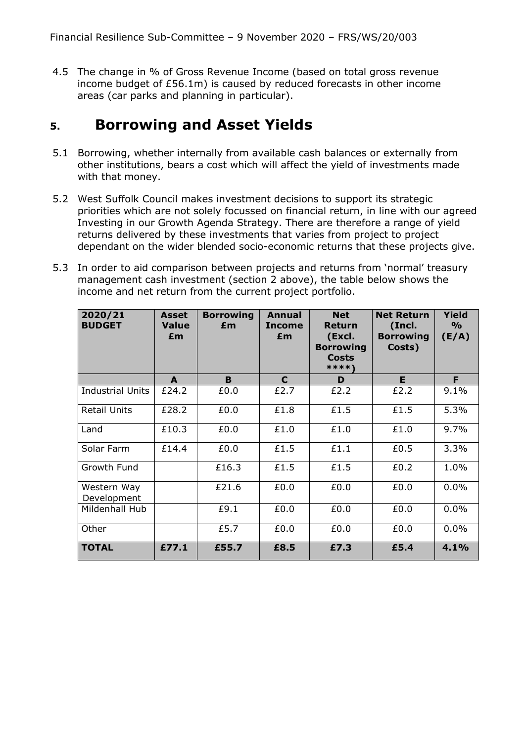4.5 The change in % of Gross Revenue Income (based on total gross revenue income budget of £56.1m) is caused by reduced forecasts in other income areas (car parks and planning in particular).

#### **5. Borrowing and Asset Yields**

- 5.1 Borrowing, whether internally from available cash balances or externally from other institutions, bears a cost which will affect the yield of investments made with that money.
- 5.2 West Suffolk Council makes investment decisions to support its strategic priorities which are not solely focussed on financial return, in line with our agreed Investing in our Growth Agenda Strategy. There are therefore a range of yield returns delivered by these investments that varies from project to project dependant on the wider blended socio-economic returns that these projects give.
- 5.3 In order to aid comparison between projects and returns from 'normal' treasury management cash investment (section 2 above), the table below shows the income and net return from the current project portfolio.

| 2020/21<br><b>BUDGET</b>   | <b>Asset</b><br><b>Value</b><br>£m | <b>Borrowing</b><br>£m | <b>Annual</b><br><b>Income</b><br>£m | <b>Net</b><br><b>Return</b><br>(Excl.<br><b>Borrowing</b><br><b>Costs</b><br>****\ | <b>Net Return</b><br>(Incl.<br><b>Borrowing</b><br>Costs) | <b>Yield</b><br>$\frac{6}{9}$<br>(E/A) |
|----------------------------|------------------------------------|------------------------|--------------------------------------|------------------------------------------------------------------------------------|-----------------------------------------------------------|----------------------------------------|
|                            | A                                  | B                      | C                                    | D                                                                                  | E.                                                        | F                                      |
| <b>Industrial Units</b>    | £24.2                              | £0.0                   | £2.7                                 | £2.2                                                                               | £2.2                                                      | 9.1%                                   |
| <b>Retail Units</b>        | £28.2                              | £0.0                   | £1.8                                 | £1.5                                                                               | £1.5                                                      | 5.3%                                   |
| Land                       | £10.3                              | £0.0                   | £1.0                                 | £1.0                                                                               | £1.0                                                      | 9.7%                                   |
| Solar Farm                 | £14.4                              | £0.0                   | £1.5                                 | £1.1                                                                               | £0.5                                                      | 3.3%                                   |
| Growth Fund                |                                    | £16.3                  | £1.5                                 | £1.5                                                                               | £0.2                                                      | 1.0%                                   |
| Western Way<br>Development |                                    | £21.6                  | £0.0                                 | £0.0                                                                               | £0.0                                                      | 0.0%                                   |
| Mildenhall Hub             |                                    | £9.1                   | £0.0                                 | £0.0                                                                               | £0.0                                                      | 0.0%                                   |
| Other                      |                                    | £5.7                   | £0.0                                 | £0.0                                                                               | £0.0                                                      | 0.0%                                   |
| <b>TOTAL</b>               | £77.1                              | £55.7                  | £8.5                                 | £7.3                                                                               | £5.4                                                      | 4.1%                                   |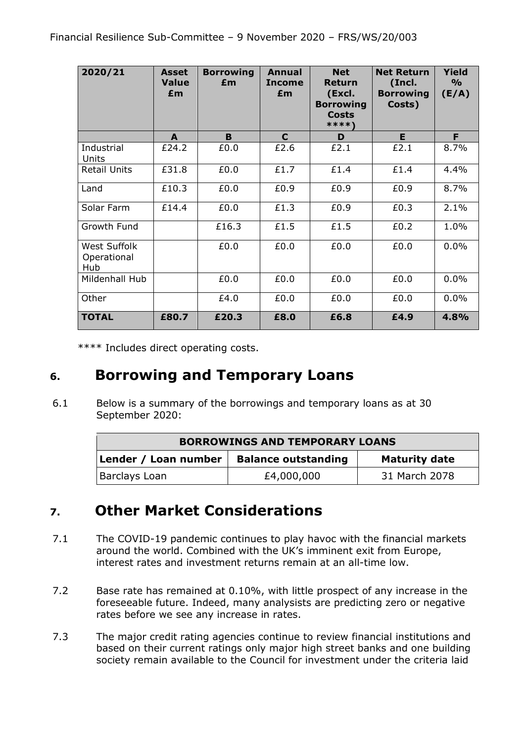| 2020/21                            | Asset<br><b>Value</b><br>£m | <b>Borrowing</b><br>£m | Annual<br><b>Income</b><br>£m | <b>Net</b><br><b>Return</b><br>(Excl.<br><b>Borrowing</b><br><b>Costs</b><br>****) | <b>Net Return</b><br>(Incl.<br><b>Borrowing</b><br>Costs) | <b>Yield</b><br>$\frac{9}{0}$<br>(E/A) |
|------------------------------------|-----------------------------|------------------------|-------------------------------|------------------------------------------------------------------------------------|-----------------------------------------------------------|----------------------------------------|
|                                    | A                           | B                      | C                             | D                                                                                  | E                                                         | F.                                     |
| Industrial<br>Units                | £24.2                       | £0.0                   | £2.6                          | £2.1                                                                               | £2.1                                                      | 8.7%                                   |
| <b>Retail Units</b>                | £31.8                       | £0.0                   | £1.7                          | £1.4                                                                               | £1.4                                                      | 4.4%                                   |
| Land                               | £10.3                       | £0.0                   | £0.9                          | £0.9                                                                               | £0.9                                                      | 8.7%                                   |
| Solar Farm                         | £14.4                       | £0.0                   | £1.3                          | £0.9                                                                               | £0.3                                                      | 2.1%                                   |
| Growth Fund                        |                             | £16.3                  | £1.5                          | £1.5                                                                               | £0.2                                                      | 1.0%                                   |
| West Suffolk<br>Operational<br>Hub |                             | £0.0                   | £0.0                          | £0.0                                                                               | £0.0                                                      | 0.0%                                   |
| Mildenhall Hub                     |                             | £0.0                   | £0.0                          | £0.0                                                                               | £0.0                                                      | 0.0%                                   |
| Other                              |                             | £4.0                   | £0.0                          | £0.0                                                                               | £0.0                                                      | 0.0%                                   |
| <b>TOTAL</b>                       | £80.7                       | £20.3                  | £8.0                          | £6.8                                                                               | £4.9                                                      | 4.8%                                   |

\*\*\*\* Includes direct operating costs.

## **6. Borrowing and Temporary Loans**

6.1 Below is a summary of the borrowings and temporary loans as at 30 September 2020:

| <b>BORROWINGS AND TEMPORARY LOANS</b>                                      |            |               |  |  |  |  |
|----------------------------------------------------------------------------|------------|---------------|--|--|--|--|
| <b>Balance outstanding</b><br>Lender / Loan number<br><b>Maturity date</b> |            |               |  |  |  |  |
| Barclays Loan                                                              | £4,000,000 | 31 March 2078 |  |  |  |  |

# **7. Other Market Considerations**

- 7.1 The COVID-19 pandemic continues to play havoc with the financial markets around the world. Combined with the UK's imminent exit from Europe, interest rates and investment returns remain at an all-time low.
- 7.2 Base rate has remained at 0.10%, with little prospect of any increase in the foreseeable future. Indeed, many analysists are predicting zero or negative rates before we see any increase in rates.
- 7.3 The major credit rating agencies continue to review financial institutions and based on their current ratings only major high street banks and one building society remain available to the Council for investment under the criteria laid